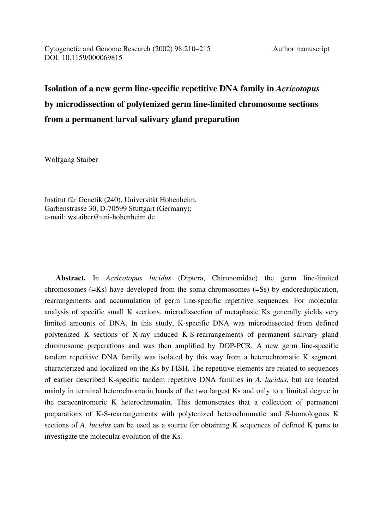# **Isolation of a new germ line-specific repetitive DNA family in** *Acricotopus* **by microdissection of polytenized germ line-limited chromosome sections from a permanent larval salivary gland preparation**

Wolfgang Staiber

Institut für Genetik (240), Universität Hohenheim, Garbenstrasse 30, D-70599 Stuttgart (Germany); e-mail: wstaiber@uni-hohenheim.de

 **Abstract.** In *Acricotopus lucidus* (Diptera, Chironomidae) the germ line-limited chromosomes (=Ks) have developed from the soma chromosomes (=Ss) by endoreduplication, rearrangements and accumulation of germ line-specific repetitive sequences. For molecular analysis of specific small K sections, microdissection of metaphasic Ks generally yields very limited amounts of DNA. In this study, K-specific DNA was microdissected from defined polytenized K sections of X-ray induced K-S-rearrangements of permanent salivary gland chromosome preparations and was then amplified by DOP-PCR. A new germ line-specific tandem repetitive DNA family was isolated by this way from a heterochromatic K segment, characterized and localized on the Ks by FISH. The repetitive elements are related to sequences of earlier described K-specific tandem repetitive DNA families in *A. lucidus*, but are located mainly in terminal heterochromatin bands of the two largest Ks and only to a limited degree in the paracentromeric K heterochromatin. This demonstrates that a collection of permanent preparations of K-S-rearrangements with polytenized heterochromatic and S-homologous K sections of *A. lucidus* can be used as a source for obtaining K sequences of defined K parts to investigate the molecular evolution of the Ks.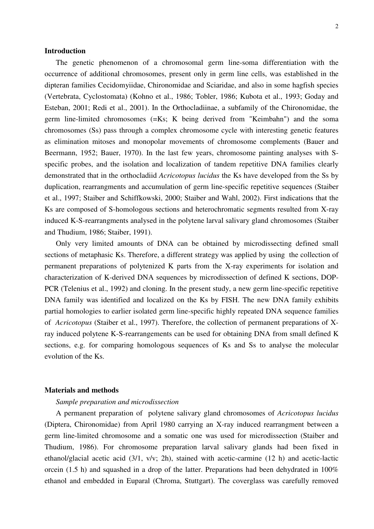## **Introduction**

 The genetic phenomenon of a chromosomal germ line-soma differentiation with the occurrence of additional chromosomes, present only in germ line cells, was established in the dipteran families Cecidomyiidae, Chironomidae and Sciaridae, and also in some hagfish species (Vertebrata, Cyclostomata) (Kohno et al., 1986; Tobler, 1986; Kubota et al., 1993; Goday and Esteban, 2001; Redi et al., 2001). In the Orthocladiinae, a subfamily of the Chironomidae, the germ line-limited chromosomes (=Ks; K being derived from "Keimbahn") and the soma chromosomes (Ss) pass through a complex chromosome cycle with interesting genetic features as elimination mitoses and monopolar movements of chromosome complements (Bauer and Beermann, 1952; Bauer, 1970). In the last few years, chromosome painting analyses with Sspecific probes, and the isolation and localization of tandem repetitive DNA families clearly demonstrated that in the orthocladiid *Acricotopus lucidus* the Ks have developed from the Ss by duplication, rearrangments and accumulation of germ line-specific repetitive sequences (Staiber et al., 1997; Staiber and Schiffkowski, 2000; Staiber and Wahl, 2002). First indications that the Ks are composed of S-homologous sections and heterochromatic segments resulted from X-ray induced K-S-rearrangments analysed in the polytene larval salivary gland chromosomes (Staiber and Thudium, 1986; Staiber, 1991).

 Only very limited amounts of DNA can be obtained by microdissecting defined small sections of metaphasic Ks. Therefore, a different strategy was applied by using the collection of permanent preparations of polytenized K parts from the X-ray experiments for isolation and characterization of K-derived DNA sequences by microdissection of defined K sections, DOP-PCR (Telenius et al., 1992) and cloning. In the present study, a new germ line-specific repetitive DNA family was identified and localized on the Ks by FISH. The new DNA family exhibits partial homologies to earlier isolated germ line-specific highly repeated DNA sequence families of *Acricotopus* (Staiber et al., 1997). Therefore, the collection of permanent preparations of Xray induced polytene K-S-rearrangements can be used for obtaining DNA from small defined K sections, e.g. for comparing homologous sequences of Ks and Ss to analyse the molecular evolution of the Ks.

## **Materials and methods**

# *Sample preparation and microdissection*

 A permanent preparation of polytene salivary gland chromosomes of *Acricotopus lucidus* (Diptera, Chironomidae) from April 1980 carrying an X-ray induced rearrangment between a germ line-limited chromosome and a somatic one was used for microdissection (Staiber and Thudium, 1986). For chromosome preparation larval salivary glands had been fixed in ethanol/glacial acetic acid (3/1, v/v; 2h), stained with acetic-carmine (12 h) and acetic-lactic orcein (1.5 h) and squashed in a drop of the latter. Preparations had been dehydrated in 100% ethanol and embedded in Euparal (Chroma, Stuttgart). The coverglass was carefully removed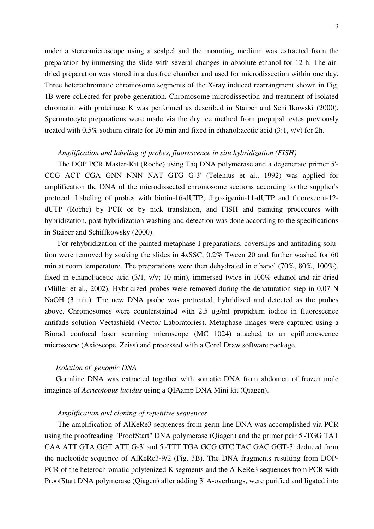under a stereomicroscope using a scalpel and the mounting medium was extracted from the preparation by immersing the slide with several changes in absolute ethanol for 12 h. The airdried preparation was stored in a dustfree chamber and used for microdissection within one day. Three heterochromatic chromosome segments of the X-ray induced rearrangment shown in Fig. 1B were collected for probe generation. Chromosome microdissection and treatment of isolated chromatin with proteinase K was performed as described in Staiber and Schiffkowski (2000). Spermatocyte preparations were made via the dry ice method from prepupal testes previously treated with 0.5% sodium citrate for 20 min and fixed in ethanol:acetic acid (3:1, v/v) for 2h.

# *Amplification and labeling of probes, fluorescence in situ hybridization (FISH)*

 The DOP PCR Master-Kit (Roche) using Taq DNA polymerase and a degenerate primer 5'- CCG ACT CGA GNN NNN NAT GTG G-3' (Telenius et al., 1992) was applied for amplification the DNA of the microdissected chromosome sections according to the supplier's protocol. Labeling of probes with biotin-16-dUTP, digoxigenin-11-dUTP and fluorescein-12 dUTP (Roche) by PCR or by nick translation, and FISH and painting procedures with hybridization, post-hybridization washing and detection was done according to the specifications in Staiber and Schiffkowsky (2000).

 For rehybridization of the painted metaphase I preparations, coverslips and antifading solution were removed by soaking the slides in 4xSSC, 0.2% Tween 20 and further washed for 60 min at room temperature. The preparations were then dehydrated in ethanol (70%, 80%, 100%), fixed in ethanol:acetic acid (3/1, v/v; 10 min), immersed twice in 100% ethanol and air-dried (Müller et al., 2002). Hybridized probes were removed during the denaturation step in 0.07 N NaOH (3 min). The new DNA probe was pretreated, hybridized and detected as the probes above. Chromosomes were counterstained with 2.5 µg/ml propidium iodide in fluorescence antifade solution Vectashield (Vector Laboratories). Metaphase images were captured using a Biorad confocal laser scanning microscope (MC 1024) attached to an epifluorescence microscope (Axioscope, Zeiss) and processed with a Corel Draw software package.

## *Isolation of genomic DNA*

 Germline DNA was extracted together with somatic DNA from abdomen of frozen male imagines of *Acricotopus lucidus* using a QIAamp DNA Mini kit (Qiagen).

# *Amplification and cloning of repetitive sequences*

 The amplification of AlKeRe3 sequences from germ line DNA was accomplished via PCR using the proofreading "ProofStart" DNA polymerase (Qiagen) and the primer pair 5'-TGG TAT CAA ATT GTA GGT ATT G-3' and 5'-TTT TGA GCG GTC TAC GAC GGT-3' deduced from the nucleotide sequence of AlKeRe3-9/2 (Fig. 3B). The DNA fragments resulting from DOP-PCR of the heterochromatic polytenized K segments and the AlKeRe3 sequences from PCR with ProofStart DNA polymerase (Qiagen) after adding 3' A-overhangs, were purified and ligated into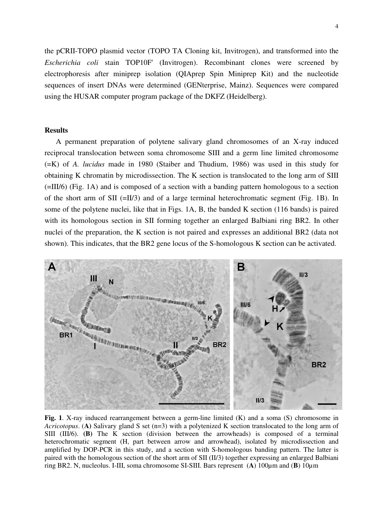the pCRII-TOPO plasmid vector (TOPO TA Cloning kit, Invitrogen), and transformed into the *Escherichia coli* stain TOP10F' (Invitrogen). Recombinant clones were screened by electrophoresis after miniprep isolation (QIAprep Spin Miniprep Kit) and the nucleotide sequences of insert DNAs were determined (GENterprise, Mainz). Sequences were compared using the HUSAR computer program package of the DKFZ (Heidelberg).

# **Results**

 A permanent preparation of polytene salivary gland chromosomes of an X-ray induced reciprocal translocation between soma chromosome SIII and a germ line limited chromosome (=K) of *A. lucidus* made in 1980 (Staiber and Thudium, 1986) was used in this study for obtaining K chromatin by microdissection. The K section is translocated to the long arm of SIII (=III/6) (Fig. 1A) and is composed of a section with a banding pattern homologous to a section of the short arm of SII (=II/3) and of a large terminal heterochromatic segment (Fig. 1B). In some of the polytene nuclei, like that in Figs. 1A, B, the banded K section (116 bands) is paired with its homologous section in SII forming together an enlarged Balbiani ring BR2. In other nuclei of the preparation, the K section is not paired and expresses an additional BR2 (data not shown). This indicates, that the BR2 gene locus of the S-homologous K section can be activated.



Fig. 1. X-ray induced rearrangement between a germ-line limited (K) and a soma (S) chromosome in *Acricotopus*. (**A)** Salivary gland S set (n=3) with a polytenized K section translocated to the long arm of SIII (III/6). **(B)** The K section (division between the arrowheads) is composed of a terminal heterochromatic segment (H, part between arrow and arrowhead), isolated by microdissection and amplified by DOP-PCR in this study, and a section with S-homologous banding pattern. The latter is paired with the homologous section of the short arm of SII (II/3) together expressing an enlarged Balbiani ring BR2. N, nucleolus. I-III, soma chromosome SI-SIII. Bars represent (**A**) 100µm and (**B**) 10µm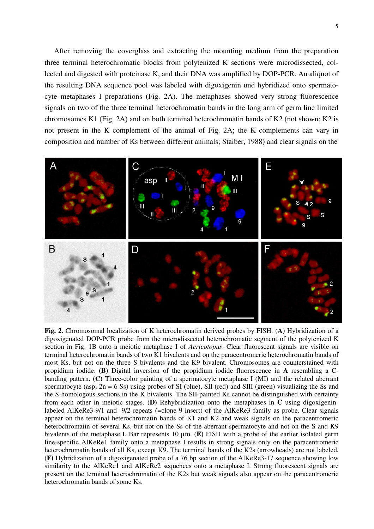After removing the coverglass and extracting the mounting medium from the preparation three terminal heterochromatic blocks from polytenized K sections were microdissected, collected and digested with proteinase K, and their DNA was amplified by DOP-PCR. An aliquot of the resulting DNA sequence pool was labeled with digoxigenin und hybridized onto spermatocyte metaphases I preparations (Fig. 2A). The metaphases showed very strong fluorescence signals on two of the three terminal heterochromatin bands in the long arm of germ line limited chromosomes K1 (Fig. 2A) and on both terminal heterochromatin bands of K2 (not shown; K2 is not present in the K complement of the animal of Fig. 2A; the K complements can vary in composition and number of Ks between different animals; Staiber, 1988) and clear signals on the



**Fig. 2**. Chromosomal localization of K heterochromatin derived probes by FISH. (**A)** Hybridization of a digoxigenated DOP-PCR probe from the microdissected heterochromatic segment of the polytenized K section in Fig. 1B onto a meiotic metaphase I of *Acricotopus*. Clear fluorescent signals are visible on terminal heterochromatin bands of two K1 bivalents and on the paracentromeric heterochromatin bands of most Ks, but not on the three S bivalents and the K9 bivalent. Chromosomes are counterstained with propidium iodide. (**B)** Digital inversion of the propidium iodide fluorescence in **A** resembling a Cbanding pattern. (**C)** Three-color painting of a spermatocyte metaphase I (MI) and the related aberrant spermatocyte (asp;  $2n = 6$  Ss) using probes of SI (blue), SII (red) and SIII (green) visualizing the Ss and the S-homologous sections in the K bivalents. The SII-painted Ks cannot be distinguished with certainty from each other in meiotic stages. (**D)** Rehybridization onto the metaphases in **C** using digoxigeninlabeled AlKeRe3-9/1 and -9/2 repeats (=clone 9 insert) of the AlKeRe3 family as probe. Clear signals appear on the terminal heterochromatin bands of K1 and K2 and weak signals on the paracentromeric heterochromatin of several Ks, but not on the Ss of the aberrant spermatocyte and not on the S and K9 bivalents of the metaphase I. Bar represents 10 µm. (**E)** FISH with a probe of the earlier isolated germ line-specific AlKeRe1 family onto a metaphase I results in strong signals only on the paracentromeric heterochromatin bands of all Ks, except K9. The terminal bands of the K2s (arrowheads) are not labeled. (**F)** Hybridization of a digoxigenated probe of a 76 bp section of the AlKeRe3-17 sequence showing low similarity to the AlKeRe1 and AlKeRe2 sequences onto a metaphase I. Strong fluorescent signals are present on the terminal heterochromatin of the K2s but weak signals also appear on the paracentromeric heterochromatin bands of some Ks.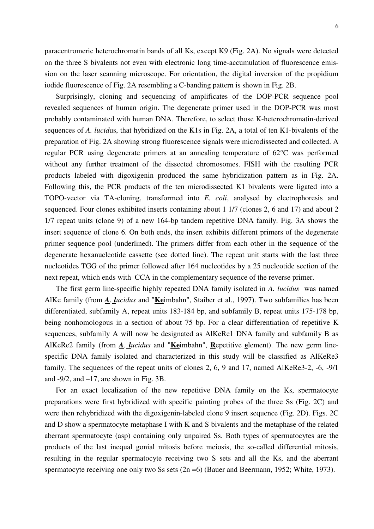paracentromeric heterochromatin bands of all Ks, except K9 (Fig. 2A). No signals were detected on the three S bivalents not even with electronic long time-accumulation of fluorescence emission on the laser scanning microscope. For orientation, the digital inversion of the propidium iodide fluorescence of Fig. 2A resembling a C-banding pattern is shown in Fig. 2B.

 Surprisingly, cloning and sequencing of amplificates of the DOP-PCR sequence pool revealed sequences of human origin. The degenerate primer used in the DOP-PCR was most probably contaminated with human DNA. Therefore, to select those K-heterochromatin*-*derived sequences of *A. lucid*us, that hybridized on the K1s in Fig. 2A, a total of ten K1-bivalents of the preparation of Fig. 2A showing strong fluorescence signals were microdissected and collected. A regular PCR using degenerate primers at an annealing temperature of 62°C was performed without any further treatment of the dissected chromosomes. FISH with the resulting PCR products labeled with digoxigenin produced the same hybridization pattern as in Fig. 2A. Following this, the PCR products of the ten microdissected K1 bivalents were ligated into a TOPO-vector via TA-cloning, transformed into *E. coli*, analysed by electrophoresis and sequenced. Four clones exhibited inserts containing about 1 1/7 (clones 2, 6 and 17) and about 2 1/7 repeat units (clone 9) of a new 164-bp tandem repetitive DNA family. Fig. 3A shows the insert sequence of clone 6. On both ends, the insert exhibits different primers of the degenerate primer sequence pool (underlined). The primers differ from each other in the sequence of the degenerate hexanucleotide cassette (see dotted line). The repeat unit starts with the last three nucleotides TGG of the primer followed after 164 nucleotides by a 25 nucleotide section of the next repeat, which ends with CCA in the complementary sequence of the reverse primer.

 The first germ line-specific highly repeated DNA family isolated in *A. lucidus* was named AlKe family (from *A. lucidus* and "**Ke**imbahn", Staiber et al., 1997). Two subfamilies has been differentiated, subfamily A, repeat units 183-184 bp, and subfamily B, repeat units 175-178 bp, being nonhomologous in a section of about 75 bp. For a clear differentiation of repetitive K sequences, subfamily A will now be designated as AlKeRe1 DNA family and subfamily B as AlKeRe2 family (from *A. lucidus* and "**Ke**imbahn", **R**epetitive **e**lement). The new germ linespecific DNA family isolated and characterized in this study will be classified as AlKeRe3 family. The sequences of the repeat units of clones 2, 6, 9 and 17, named AlKeRe3-2, -6, -9/1 and  $-9/2$ , and  $-17$ , are shown in Fig. 3B.

 For an exact localization of the new repetitive DNA family on the Ks, spermatocyte preparations were first hybridized with specific painting probes of the three Ss (Fig. 2C) and were then rehybridized with the digoxigenin-labeled clone 9 insert sequence (Fig. 2D). Figs. 2C and D show a spermatocyte metaphase I with K and S bivalents and the metaphase of the related aberrant spermatocyte (asp) containing only unpaired Ss. Both types of spermatocytes are the products of the last inequal gonial mitosis before meiosis, the so-called differential mitosis, resulting in the regular spermatocyte receiving two S sets and all the Ks, and the aberrant spermatocyte receiving one only two Ss sets (2n = 6) (Bauer and Beermann, 1952; White, 1973).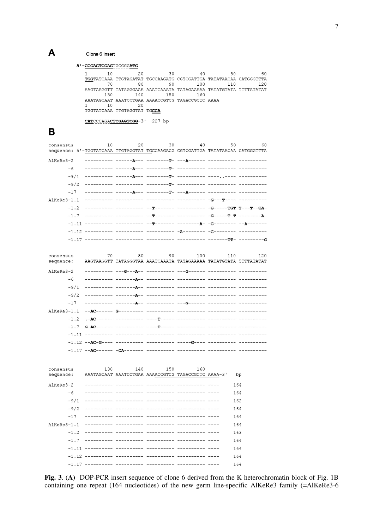#### Clone 6 insert

```
5'-CCGACTCGAGTGCGGGATG
```

| 10                     | 20                          | 30  | 40                                                                | 50  | 60  |  |
|------------------------|-----------------------------|-----|-------------------------------------------------------------------|-----|-----|--|
|                        |                             |     | TGGTATCAAA TTGTAGATAT TGCCAAGATG CGTCGATTGA TATATAACAA CATGGGTTTA |     |     |  |
| 70                     | 80                          | 90  | 100                                                               | 110 | 120 |  |
|                        |                             |     | AAGTAAGGTT TATAGGGAAA AAATCAAATA TATAGAAAAA TATATGTATA TTTTATATAT |     |     |  |
| 130                    | 140                         | 150 | 160                                                               |     |     |  |
|                        |                             |     | AAATAGCAAT AAATCCTGAA AAAACCGTCG TAGACCGCTC AAAA                  |     |     |  |
| 1 ∩                    | 20                          |     |                                                                   |     |     |  |
|                        | TGGTATCAAA TTGTAGGTAT TGCCA |     |                                                                   |     |     |  |
|                        |                             |     |                                                                   |     |     |  |
| CATCCCAGACTCGAGTCGG-3' |                             |     |                                                                   |     |     |  |

 $\mathbf B$ 

 $\mathbf{A}$ 

| consensus     |        | 10<br>sequence: 5'-TGGTATCAAA TTGTAGGTAT TGCCAAGACG CGTCGATTGA TATATAACAA CATGGGTTTA | 20 | 30<br>40 | 50 | 60         |
|---------------|--------|--------------------------------------------------------------------------------------|----|----------|----|------------|
| AlKeRe3-2     |        |                                                                                      |    |          |    |            |
|               | $-6$   |                                                                                      |    |          |    |            |
|               |        |                                                                                      |    |          |    |            |
|               |        |                                                                                      |    |          |    |            |
|               |        |                                                                                      |    |          |    |            |
|               |        |                                                                                      |    |          |    |            |
|               |        |                                                                                      |    |          |    |            |
|               |        |                                                                                      |    |          |    |            |
|               |        |                                                                                      |    |          |    |            |
|               |        |                                                                                      |    |          |    |            |
|               |        |                                                                                      |    |          |    |            |
|               |        |                                                                                      |    |          |    |            |
| consensus     |        | 70<br>AAGTAAGGTT TATAGGGTAA AAATCAAATA TATAGAAAAA TATATGTATA TTTTATATAT              | 80 | 90 100   |    | 110<br>120 |
| sequence:     |        |                                                                                      |    |          |    |            |
| AlKeRe3-2     |        |                                                                                      |    |          |    |            |
|               | $-6$   |                                                                                      |    |          |    |            |
|               |        |                                                                                      |    |          |    |            |
|               |        |                                                                                      |    |          |    |            |
|               | $-17$  |                                                                                      |    |          |    |            |
| $AIKERe3-1.1$ |        |                                                                                      |    |          |    |            |
|               | $-1.2$ |                                                                                      |    |          |    |            |
|               |        |                                                                                      |    |          |    |            |
|               |        |                                                                                      |    |          |    |            |
|               |        |                                                                                      |    |          |    |            |
|               |        |                                                                                      |    |          |    |            |
|               |        |                                                                                      |    |          |    |            |

| consensus<br>sequence: | 130 | 140 | 150<br>AAATAGCAAT AAATCCTGAA AAAACCGTCG TAGACCGCTC AAAA-3' | 160 | bp  |
|------------------------|-----|-----|------------------------------------------------------------|-----|-----|
| AlKeRe3-2              |     |     |                                                            |     | 164 |
| $-6$                   |     |     | Adamarkada adamarkada bayananyin kanggangan bayu           |     | 164 |
| $-9/1$                 |     |     |                                                            |     | 162 |
| $-9/2$                 |     |     |                                                            |     | 164 |
| $-17$                  |     |     |                                                            |     | 164 |
|                        |     |     |                                                            |     | 164 |
| $-1.2$                 |     |     |                                                            |     | 163 |
| $-1.7$                 |     |     |                                                            |     | 164 |
| $-1.11$                |     |     |                                                            |     | 164 |
| $-1.12$                |     |     |                                                            |     | 164 |
| $-1.17$                |     |     |                                                            |     | 164 |

**Fig. 3**. (**A)** DOP-PCR insert sequence of clone 6 derived from the K heterochromatin block of Fig. 1B containing one repeat (164 nucleotides) of the new germ line-specific AlKeRe3 family (=AlKeRe3-6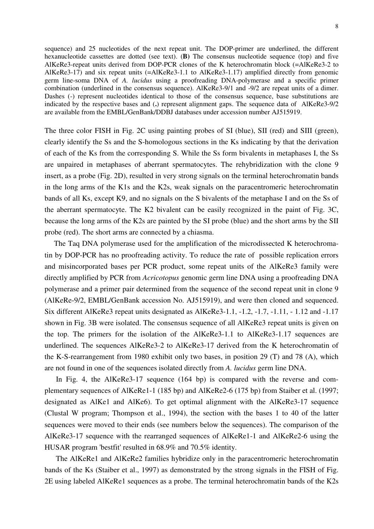sequence) and 25 nucleotides of the next repeat unit. The DOP-primer are underlined, the different hexanucleotide cassettes are dotted (see text). (**B)** The consensus nucleotide sequence (top) and five AlKeRe3-repeat units derived from DOP-PCR clones of the K heterochromatin block (=AlKeRe3-2 to AlKeRe3-17) and six repeat units (=AlKeRe3-1.1 to AlKeRe3-1.17) amplified directly from genomic germ line-soma DNA of *A. lucidus* using a proofreading DNA-polymerase and a specific primer combination (underlined in the consensus sequence). AlKeRe3-9/1 and -9/2 are repeat units of a dimer. Dashes (-) represent nucleotides identical to those of the consensus sequence, base substitutions are indicated by the respective bases and (**.**) represent alignment gaps. The sequence data of AlKeRe3-9/2 are available from the EMBL/GenBank/DDBJ databases under accession number AJ515919.

The three color FISH in Fig. 2C using painting probes of SI (blue), SII (red) and SIII (green), clearly identify the Ss and the S-homologous sections in the Ks indicating by that the derivation of each of the Ks from the corresponding S. While the Ss form bivalents in metaphases I, the Ss are unpaired in metaphases of aberrant spermatocytes. The rehybridization with the clone 9 insert, as a probe (Fig. 2D), resulted in very strong signals on the terminal heterochromatin bands in the long arms of the K1s and the K2s, weak signals on the paracentromeric heterochromatin bands of all Ks, except K9, and no signals on the S bivalents of the metaphase I and on the Ss of the aberrant spermatocyte. The K2 bivalent can be easily recognized in the paint of Fig. 3C, because the long arms of the K2s are painted by the SI probe (blue) and the short arms by the SII probe (red). The short arms are connected by a chiasma.

 The Taq DNA polymerase used for the amplification of the microdissected K heterochromatin by DOP-PCR has no proofreading activity. To reduce the rate of possible replication errors and misincorporated bases per PCR product, some repeat units of the AlKeRe3 family were directly amplified by PCR from *Acricotopus* genomic germ line DNA using a proofreading DNA polymerase and a primer pair determined from the sequence of the second repeat unit in clone 9 (AlKeRe-9/2, EMBL/GenBank accession No. AJ515919), and were then cloned and sequenced. Six different AlKeRe3 repeat units designated as AlKeRe3-1.1, -1.2, -1.7, -1.11, - 1.12 and -1.17 shown in Fig. 3B were isolated. The consensus sequence of all AlKeRe3 repeat units is given on the top. The primers for the isolation of the AlKeRe3-1.1 to AlKeRe3-1.17 sequences are underlined. The sequences AlKeRe3-2 to AlKeRe3-17 derived from the K heterochromatin of the K-S-rearrangement from 1980 exhibit only two bases, in position 29 (T) and 78 (A), which are not found in one of the sequences isolated directly from *A. lucidus* germ line DNA.

 In Fig. 4, the AlKeRe3-17 sequence (164 bp) is compared with the reverse and complementary sequences of AlKeRe1-1 (185 bp) and AlKeRe2-6 (175 bp) from Staiber et al. (1997; designated as AlKe1 and AlKe6). To get optimal alignment with the AlKeRe3-17 sequence (Clustal W program; Thompson et al., 1994), the section with the bases 1 to 40 of the latter sequences were moved to their ends (see numbers below the sequences). The comparison of the AlKeRe3-17 sequence with the rearranged sequences of AlKeRe1-1 and AlKeRe2-6 using the HUSAR program 'bestfit' resulted in 68.9% and 70.5% identity.

 The AlKeRe1 and AlKeRe2 families hybridize only in the paracentromeric heterochromatin bands of the Ks (Staiber et al., 1997) as demonstrated by the strong signals in the FISH of Fig. 2E using labeled AlKeRe1 sequences as a probe. The terminal heterochromatin bands of the K2s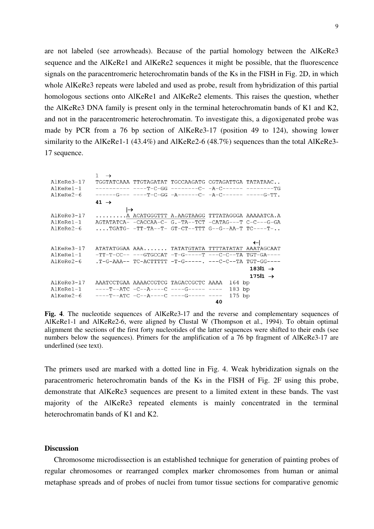are not labeled (see arrowheads). Because of the partial homology between the AlKeRe3 sequence and the AlKeRe1 and AlKeRe2 sequences it might be possible, that the fluorescence signals on the paracentromeric heterochromatin bands of the Ks in the FISH in Fig. 2D, in which whole AlKeRe3 repeats were labeled and used as probe, result from hybridization of this partial homologous sections onto AlKeRe1 and AlKeRe2 elements. This raises the question, whether the AlKeRe3 DNA family is present only in the terminal heterochromatin bands of K1 and K2, and not in the paracentromeric heterochromatin. To investigate this, a digoxigenated probe was made by PCR from a 76 bp section of AlKeRe3-17 (position 49 to 124), showing lower similarity to the AlKeRe1-1 (43.4%) and AlKeRe2-6 (48.7%) sequences than the total AlKeRe3-17 sequence.

|                  | $\rightarrow$    |                                                             |          |                     |
|------------------|------------------|-------------------------------------------------------------|----------|---------------------|
| AlKeRe3-17       |                  | TGGTATCAAA TTGTAGATAT TGCCAAGATG CGTAGATTGA TATATAAC        |          |                     |
| $AIKERe1-1$      |                  |                                                             |          |                     |
| $AIKeRe2-6$      |                  | ------G--- ----T-C-GG -A------C- -A-C------ -----G-TT.      |          |                     |
|                  | 41 $\rightarrow$ |                                                             |          |                     |
|                  |                  |                                                             |          |                     |
| AlKeRe3-17       |                  | A ACATGGGTTT A.AAGTAAGG TTTATAGGGA AAAAATCA.A               |          |                     |
| $AIKee$ Re $1-1$ |                  | AGTATATCA- -CACCAA-C- G.-TA--TCT -CATAG---T C-C----G-GA     |          |                     |
| $AIKeRe2-6$      |                  | $\ldots$ . TGATG- -TT-TA--T- GT-CT--TTT G--G--AA-T TC----T- |          |                     |
|                  |                  |                                                             |          |                     |
|                  |                  |                                                             |          |                     |
| AlKeRe3-17       |                  | ATATATGGAA AAA TATATGTATA TTTTATATAT AAATAGCAAT             |          |                     |
| AlKeRe1-1        |                  | -TT-T-CC-- ---GTGCCAT -T-G-----T ---C-C--TA TGT-GA----      |          |                     |
| $AIKERe2-6$      |                  | $.T-G-AAA--TC-ACTTTTT$ $-T-G--- ---C-C--TA$ $TGT-GG---T$    |          |                     |
|                  |                  |                                                             |          | 18311 $\rightarrow$ |
|                  |                  |                                                             |          | 175 $1 \rightarrow$ |
| AlKeRe3-17       |                  | AAATCCTGAA AAAACCGTCG TAGACCGCTC AAAA                       | $164$ bp |                     |
| $AIKERe1-1$      |                  | ----T--ATC -C--A----C ----G----- ----                       | $183$ bp |                     |
| $AIKeRe2-6$      |                  | $---T--ATC$ $-C--A---C$ $---G---$                           | $175$ bp |                     |
|                  |                  |                                                             | 40       |                     |

**Fig. 4**. The nucleotide sequences of AlKeRe3-17 and the reverse and complementary sequences of AlKeRe1-1 and AlKeRe2-6, were aligned by Clustal W (Thompson et al., 1994). To obtain optimal alignment the sections of the first forty nucleotides of the latter sequences were shifted to their ends (see numbers below the sequences). Primers for the amplification of a 76 bp fragment of AlKeRe3-17 are underlined (see text).

The primers used are marked with a dotted line in Fig. 4. Weak hybridization signals on the paracentromeric heterochromatin bands of the Ks in the FISH of Fig. 2F using this probe, demonstrate that AlKeRe3 sequences are present to a limited extent in these bands. The vast majority of the AlKeRe3 repeated elements is mainly concentrated in the terminal heterochromatin bands of K1 and K2.

## **Discussion**

 Chromosome microdissection is an established technique for generation of painting probes of regular chromosomes or rearranged complex marker chromosomes from human or animal metaphase spreads and of probes of nuclei from tumor tissue sections for comparative genomic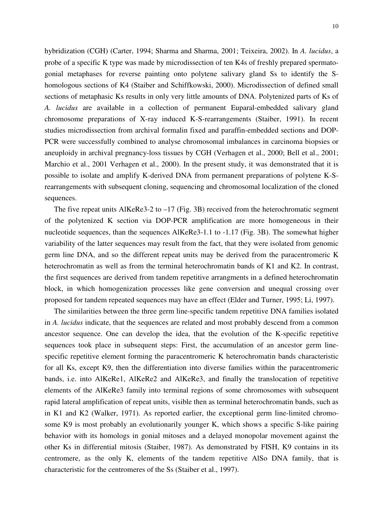hybridization (CGH) (Carter, 1994; Sharma and Sharma, 2001; Teixeira, 2002). In *A. lucidus*, a probe of a specific K type was made by microdissection of ten K4s of freshly prepared spermatogonial metaphases for reverse painting onto polytene salivary gland Ss to identify the Shomologous sections of K4 (Staiber and Schiffkowski, 2000). Microdissection of defined small sections of metaphasic Ks results in only very little amounts of DNA. Polytenized parts of Ks of *A. lucidus* are available in a collection of permanent Euparal-embedded salivary gland chromosome preparations of X-ray induced K-S-rearrangements (Staiber, 1991). In recent studies microdissection from archival formalin fixed and paraffin-embedded sections and DOP-PCR were successfully combined to analyse chromosomal imbalances in carcinoma biopsies or aneuploidy in archival pregnancy-loss tissues by CGH (Verhagen et al., 2000; Bell et al., 2001; Marchio et al., 2001 Verhagen et al., 2000). In the present study, it was demonstrated that it is possible to isolate and amplify K-derived DNA from permanent preparations of polytene K-Srearrangements with subsequent cloning, sequencing and chromosomal localization of the cloned sequences.

The five repeat units AlKeRe3-2 to  $-17$  (Fig. 3B) received from the heterochromatic segment of the polytenized K section via DOP-PCR amplification are more homogeneous in their nucleotide sequences, than the sequences AlKeRe3-1.1 to -1.17 (Fig. 3B). The somewhat higher variability of the latter sequences may result from the fact, that they were isolated from genomic germ line DNA, and so the different repeat units may be derived from the paracentromeric K heterochromatin as well as from the terminal heterochromatin bands of K1 and K2. In contrast, the first sequences are derived from tandem repetitive arrangments in a defined heterochromatin block, in which homogenization processes like gene conversion and unequal crossing over proposed for tandem repeated sequences may have an effect (Elder and Turner, 1995; Li, 1997).

 The similarities between the three germ line-specific tandem repetitive DNA families isolated in *A. lucidus* indicate, that the sequences are related and most probably descend from a common ancestor sequence. One can develop the idea, that the evolution of the K-specific repetitive sequences took place in subsequent steps: First, the accumulation of an ancestor germ linespecific repetitive element forming the paracentromeric K heterochromatin bands characteristic for all Ks, except K9, then the differentiation into diverse families within the paracentromeric bands, i.e. into AlKeRe1, AlKeRe2 and AlKeRe3, and finally the translocation of repetitive elements of the AlKeRe3 family into terminal regions of some chromosomes with subsequent rapid lateral amplification of repeat units, visible then as terminal heterochromatin bands, such as in K1 and K2 (Walker, 1971). As reported earlier, the exceptional germ line-limited chromosome K9 is most probably an evolutionarily younger K, which shows a specific S-like pairing behavior with its homologs in gonial mitoses and a delayed monopolar movement against the other Ks in differential mitosis (Staiber, 1987). As demonstrated by FISH, K9 contains in its centromere, as the only K, elements of the tandem repetitive AlSo DNA family, that is characteristic for the centromeres of the Ss (Staiber et al., 1997).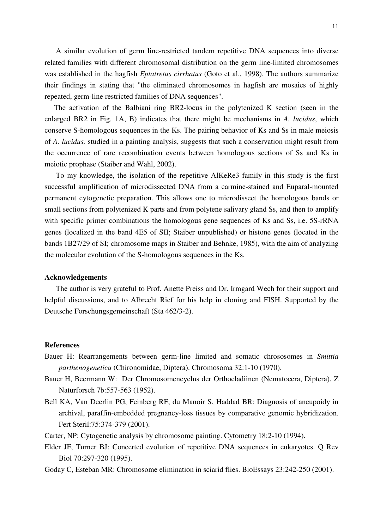A similar evolution of germ line-restricted tandem repetitive DNA sequences into diverse related families with different chromosomal distribution on the germ line-limited chromosomes was established in the hagfish *Eptatretus cirrhatus* (Goto et al., 1998). The authors summarize their findings in stating that "the eliminated chromosomes in hagfish are mosaics of highly repeated, germ-line restricted families of DNA sequences".

 The activation of the Balbiani ring BR2-locus in the polytenized K section (seen in the enlarged BR2 in Fig. 1A, B) indicates that there might be mechanisms in *A. lucidus*, which conserve S-homologous sequences in the Ks. The pairing behavior of Ks and Ss in male meiosis of *A. lucidus,* studied in a painting analysis, suggests that such a conservation might result from the occurrence of rare recombination events between homologous sections of Ss and Ks in meiotic prophase (Staiber and Wahl, 2002).

 To my knowledge, the isolation of the repetitive AlKeRe3 family in this study is the first successful amplification of microdissected DNA from a carmine-stained and Euparal-mounted permanent cytogenetic preparation. This allows one to microdissect the homologous bands or small sections from polytenized K parts and from polytene salivary gland Ss, and then to amplify with specific primer combinations the homologous gene sequences of Ks and Ss, i.e. 5S-rRNA genes (localized in the band 4E5 of SII; Staiber unpublished) or histone genes (located in the bands 1B27/29 of SI; chromosome maps in Staiber and Behnke, 1985), with the aim of analyzing the molecular evolution of the S-homologous sequences in the Ks.

#### **Acknowledgements**

 The author is very grateful to Prof. Anette Preiss and Dr. Irmgard Wech for their support and helpful discussions, and to Albrecht Rief for his help in cloning and FISH. Supported by the Deutsche Forschungsgemeinschaft (Sta 462/3-2).

#### **References**

- Bauer H: Rearrangements between germ-line limited and somatic chrososomes in *Smittia parthenogenetica* (Chironomidae, Diptera). Chromosoma 32:1-10 (1970).
- Bauer H, Beermann W: Der Chromosomencyclus der Orthocladiinen (Nematocera, Diptera). Z Naturforsch 7b:557-563 (1952).
- Bell KA, Van Deerlin PG, Feinberg RF, du Manoir S, Haddad BR: Diagnosis of aneupoidy in archival, paraffin-embedded pregnancy-loss tissues by comparative genomic hybridization. Fert Steril:75:374-379 (2001).
- Carter, NP: Cytogenetic analysis by chromosome painting. Cytometry 18:2-10 (1994).
- Elder JF, Turner BJ: Concerted evolution of repetitive DNA sequences in eukaryotes. Q Rev Biol 70:297-320 (1995).
- Goday C, Esteban MR: Chromosome elimination in sciarid flies. BioEssays 23:242-250 (2001).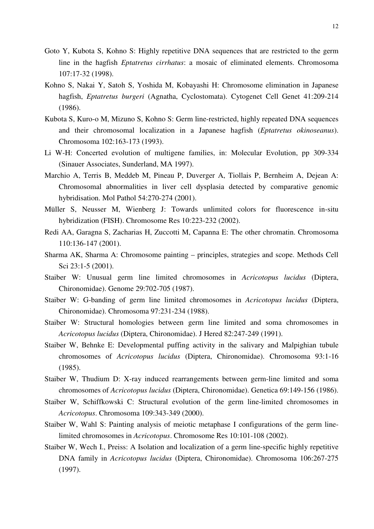- Goto Y, Kubota S, Kohno S: Highly repetitive DNA sequences that are restricted to the germ line in the hagfish *Eptatretus cirrhatus*: a mosaic of eliminated elements. Chromosoma 107:17-32 (1998).
- Kohno S, Nakai Y, Satoh S, Yoshida M, Kobayashi H: Chromosome elimination in Japanese hagfish, *Eptatretus burgeri* (Agnatha, Cyclostomata). Cytogenet Cell Genet 41:209-214 (1986).
- Kubota S, Kuro-o M, Mizuno S, Kohno S: Germ line-restricted, highly repeated DNA sequences and their chromosomal localization in a Japanese hagfish (*Eptatretus okinoseanus*). Chromosoma 102:163-173 (1993).
- Li W-H: Concerted evolution of multigene families, in: Molecular Evolution, pp 309-334 (Sinauer Associates, Sunderland, MA 1997).
- Marchio A, Terris B, Meddeb M, Pineau P, Duverger A, Tiollais P, Bernheim A, Dejean A: Chromosomal abnormalities in liver cell dysplasia detected by comparative genomic hybridisation. Mol Pathol 54:270-274 (2001).
- Müller S, Neusser M, Wienberg J: Towards unlimited colors for fluorescence in-situ hybridization (FISH). Chromosome Res 10:223-232 (2002).
- Redi AA, Garagna S, Zacharias H, Zuccotti M, Capanna E: The other chromatin. Chromosoma 110:136-147 (2001).
- Sharma AK, Sharma A: Chromosome painting principles, strategies and scope. Methods Cell Sci 23:1-5 (2001).
- Staiber W: Unusual germ line limited chromosomes in *Acricotopus lucidus* (Diptera, Chironomidae). Genome 29:702-705 (1987).
- Staiber W: G-banding of germ line limited chromosomes in *Acricotopus lucidus* (Diptera, Chironomidae). Chromosoma 97:231-234 (1988).
- Staiber W: Structural homologies between germ line limited and soma chromosomes in *Acricotopus lucidus* (Diptera, Chironomidae). J Hered 82:247-249 (1991).
- Staiber W, Behnke E: Developmental puffing activity in the salivary and Malpighian tubule chromosomes of *Acricotopus lucidus* (Diptera, Chironomidae). Chromosoma 93:1-16 (1985).
- Staiber W, Thudium D: X-ray induced rearrangements between germ-line limited and soma chromosomes of *Acricotopus lucidus* (Diptera, Chironomidae). Genetica 69:149-156 (1986).
- Staiber W, Schiffkowski C: Structural evolution of the germ line-limited chromosomes in *Acricotopus*. Chromosoma 109:343-349 (2000).
- Staiber W, Wahl S: Painting analysis of meiotic metaphase I configurations of the germ linelimited chromosomes in *Acricotopus*. Chromosome Res 10:101-108 (2002).
- Staiber W, Wech I., Preiss: A Isolation and localization of a germ line-specific highly repetitive DNA family in *Acricotopus lucidus* (Diptera, Chironomidae). Chromosoma 106:267-275 (1997).